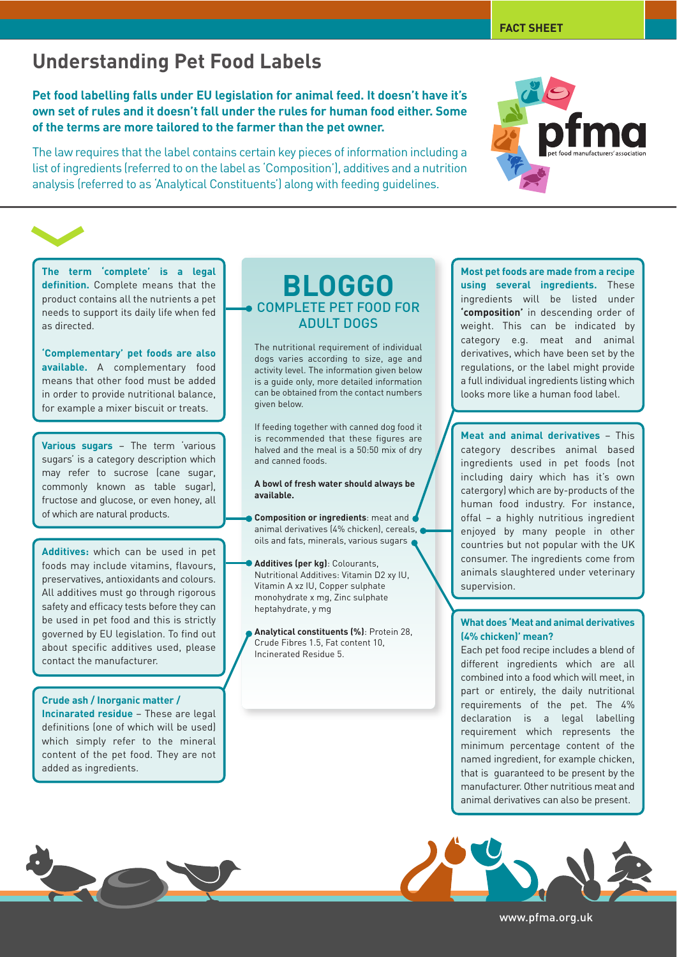# **Understanding Pet Food Labels**

**Pet food labelling falls under EU legislation for animal feed. It doesn't have it's own set of rules and it doesn't fall under the rules for human food either. Some of the terms are more tailored to the farmer than the pet owner.**

The law requires that the label contains certain key pieces of information including a list of ingredients (referred to on the label as 'Composition'), additives and a nutrition analysis (referred to as 'Analytical Constituents') along with feeding guidelines.

**The term 'complete' is a legal definition.** Complete means that the product contains all the nutrients a pet needs to support its daily life when fed as directed.

**'Complementary' pet foods are also available.** A complementary food means that other food must be added in order to provide nutritional balance, for example a mixer biscuit or treats.

**Various sugars** – The term 'various sugars' is a category description which may refer to sucrose (cane sugar, commonly known as table sugar), fructose and glucose, or even honey, all of which are natural products.

**Additives:** which can be used in pet foods may include vitamins, flavours, preservatives, antioxidants and colours. All additives must go through rigorous safety and efficacy tests before they can be used in pet food and this is strictly governed by EU legislation. To find out about specific additives used, please contact the manufacturer.

### **Crude ash / Inorganic matter /**

**Incinarated residue** – These are legal definitions (one of which will be used) which simply refer to the mineral content of the pet food. They are not added as ingredients.

### **BLOGGO** COMPLETE PET FOOD FOR ADULT DOGS

The nutritional requirement of individual dogs varies according to size, age and activity level. The information given below is a guide only, more detailed information can be obtained from the contact numbers given below.

If feeding together with canned dog food it is recommended that these figures are halved and the meal is a 50:50 mix of dry and canned foods.

#### **A bowl of fresh water should always be available.**

**Composition or ingredients**: meat and animal derivatives (4% chicken), cereals, oils and fats, minerals, various sugars

**Additives (per kg)**: Colourants, Nutritional Additives: Vitamin D2 xy IU, Vitamin A xz IU, Copper sulphate monohydrate x mg, Zinc sulphate heptahydrate, y mg

**Analytical constituents (%)**: Protein 28, Crude Fibres 1.5, Fat content 10, Incinerated Residue 5.

**Most pet foods are made from a recipe using several ingredients.** These ingredients will be listed under **'composition'** in descending order of weight. This can be indicated by category e.g. meat and animal derivatives, which have been set by the regulations, or the label might provide a full individual ingredients listing which looks more like a human food label.

**Meat and animal derivatives** – This category describes animal based ingredients used in pet foods (not including dairy which has it's own catergory) which are by-products of the human food industry. For instance, offal – a highly nutritious ingredient enjoyed by many people in other countries but not popular with the UK consumer. The ingredients come from animals slaughtered under veterinary supervision.

#### **What does 'Meat and animal derivatives (4% chicken)' mean?**

Each pet food recipe includes a blend of different ingredients which are all combined into a food which will meet, in part or entirely, the daily nutritional requirements of the pet. The 4% declaration is a legal labelling requirement which represents the minimum percentage content of the named ingredient, for example chicken, that is guaranteed to be present by the manufacturer. Other nutritious meat and animal derivatives can also be present.

www.pfma.org.uk